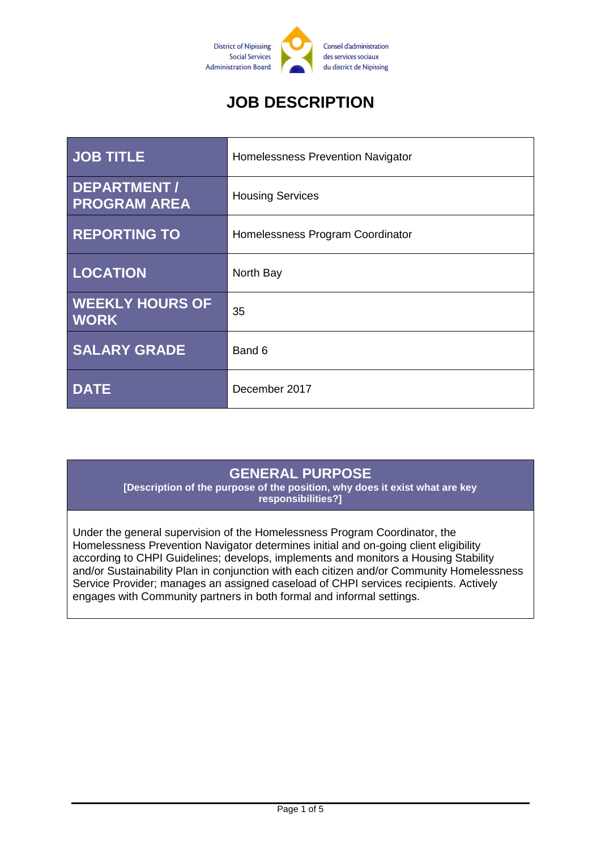

# **JOB DESCRIPTION**

| <b>JOB TITLE</b>                          | Homelessness Prevention Navigator |
|-------------------------------------------|-----------------------------------|
| <b>DEPARTMENT/</b><br><b>PROGRAM AREA</b> | <b>Housing Services</b>           |
| <b>REPORTING TO</b>                       | Homelessness Program Coordinator  |
| <b>LOCATION</b>                           | North Bay                         |
| <b>WEEKLY HOURS OF</b><br><b>WORK</b>     | 35                                |
| <b>SALARY GRADE</b>                       | Band 6                            |
| <b>DATE</b>                               | December 2017                     |

### **GENERAL PURPOSE**

**[Description of the purpose of the position, why does it exist what are key responsibilities?]**

Under the general supervision of the Homelessness Program Coordinator, the Homelessness Prevention Navigator determines initial and on-going client eligibility according to CHPI Guidelines; develops, implements and monitors a Housing Stability and/or Sustainability Plan in conjunction with each citizen and/or Community Homelessness Service Provider; manages an assigned caseload of CHPI services recipients. Actively engages with Community partners in both formal and informal settings.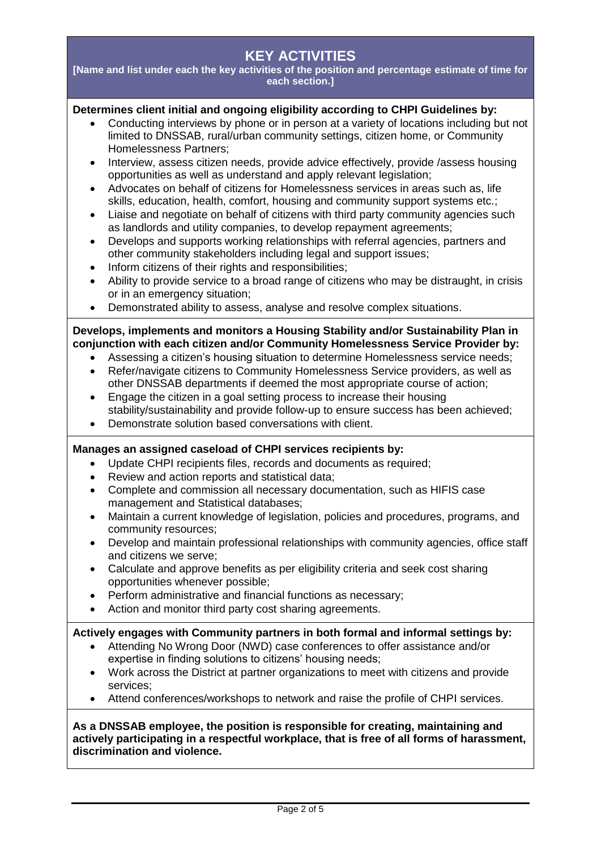## **KEY ACTIVITIES**

**[Name and list under each the key activities of the position and percentage estimate of time for each section.]**

#### **Determines client initial and ongoing eligibility according to CHPI Guidelines by:**

- Conducting interviews by phone or in person at a variety of locations including but not limited to DNSSAB, rural/urban community settings, citizen home, or Community Homelessness Partners;
- Interview, assess citizen needs, provide advice effectively, provide /assess housing opportunities as well as understand and apply relevant legislation;
- Advocates on behalf of citizens for Homelessness services in areas such as, life skills, education, health, comfort, housing and community support systems etc.;
- Liaise and negotiate on behalf of citizens with third party community agencies such as landlords and utility companies, to develop repayment agreements;
- Develops and supports working relationships with referral agencies, partners and other community stakeholders including legal and support issues;
- Inform citizens of their rights and responsibilities;
- Ability to provide service to a broad range of citizens who may be distraught, in crisis or in an emergency situation;
- Demonstrated ability to assess, analyse and resolve complex situations.

#### **Develops, implements and monitors a Housing Stability and/or Sustainability Plan in conjunction with each citizen and/or Community Homelessness Service Provider by:**

- Assessing a citizen's housing situation to determine Homelessness service needs;
- Refer/navigate citizens to Community Homelessness Service providers, as well as other DNSSAB departments if deemed the most appropriate course of action;
- Engage the citizen in a goal setting process to increase their housing stability/sustainability and provide follow-up to ensure success has been achieved;
- Demonstrate solution based conversations with client.

#### **Manages an assigned caseload of CHPI services recipients by:**

- Update CHPI recipients files, records and documents as required;
- Review and action reports and statistical data;
- Complete and commission all necessary documentation, such as HIFIS case management and Statistical databases;
- Maintain a current knowledge of legislation, policies and procedures, programs, and community resources;
- Develop and maintain professional relationships with community agencies, office staff and citizens we serve;
- Calculate and approve benefits as per eligibility criteria and seek cost sharing opportunities whenever possible;
- Perform administrative and financial functions as necessary;
- Action and monitor third party cost sharing agreements.

#### **Actively engages with Community partners in both formal and informal settings by:**

- Attending No Wrong Door (NWD) case conferences to offer assistance and/or expertise in finding solutions to citizens' housing needs;
- Work across the District at partner organizations to meet with citizens and provide services;
- Attend conferences/workshops to network and raise the profile of CHPI services.

#### **As a DNSSAB employee, the position is responsible for creating, maintaining and actively participating in a respectful workplace, that is free of all forms of harassment, discrimination and violence.**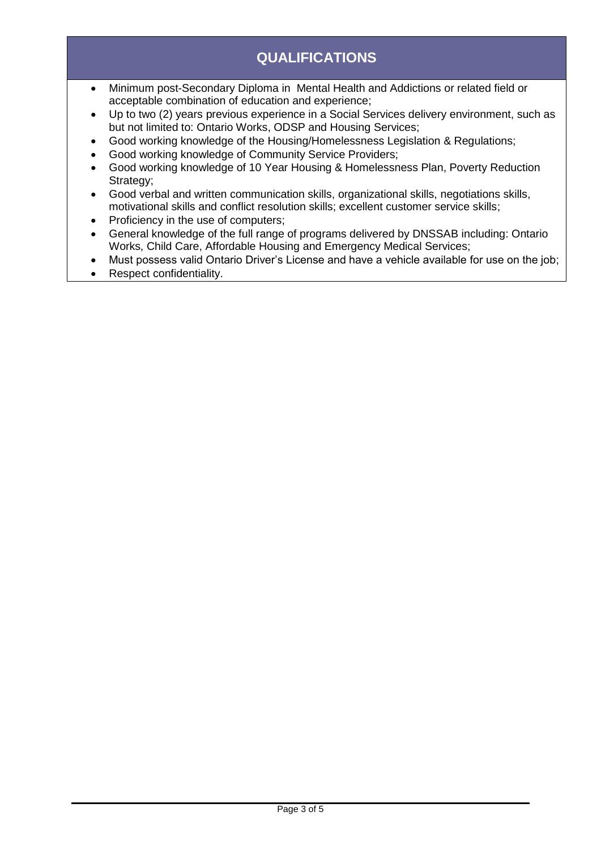## **QUALIFICATIONS**

- Minimum post-Secondary Diploma in Mental Health and Addictions or related field or acceptable combination of education and experience;
- Up to two (2) years previous experience in a Social Services delivery environment, such as but not limited to: Ontario Works, ODSP and Housing Services;
- Good working knowledge of the Housing/Homelessness Legislation & Regulations;
- Good working knowledge of Community Service Providers;
- Good working knowledge of 10 Year Housing & Homelessness Plan, Poverty Reduction Strategy;
- Good verbal and written communication skills, organizational skills, negotiations skills, motivational skills and conflict resolution skills; excellent customer service skills;
- Proficiency in the use of computers;
- General knowledge of the full range of programs delivered by DNSSAB including: Ontario Works, Child Care, Affordable Housing and Emergency Medical Services;
- Must possess valid Ontario Driver's License and have a vehicle available for use on the job;
- Respect confidentiality.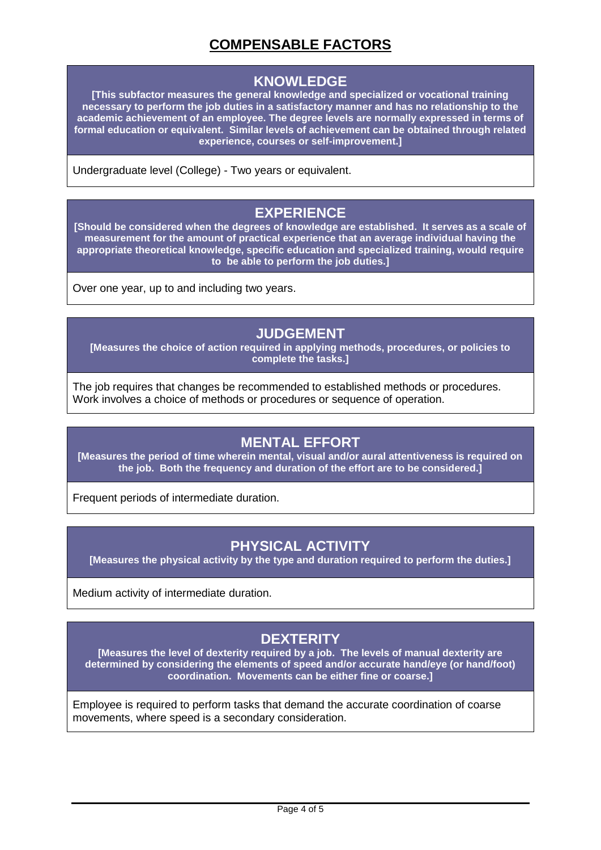## **COMPENSABLE FACTORS**

#### **KNOWLEDGE**

**[This subfactor measures the general knowledge and specialized or vocational training necessary to perform the job duties in a satisfactory manner and has no relationship to the academic achievement of an employee. The degree levels are normally expressed in terms of formal education or equivalent. Similar levels of achievement can be obtained through related experience, courses or self-improvement.]**

Undergraduate level (College) - Two years or equivalent.

#### **EXPERIENCE**

**[Should be considered when the degrees of knowledge are established. It serves as a scale of measurement for the amount of practical experience that an average individual having the appropriate theoretical knowledge, specific education and specialized training, would require to be able to perform the job duties.]**

Over one year, up to and including two years.

#### **JUDGEMENT**

**[Measures the choice of action required in applying methods, procedures, or policies to complete the tasks.]**

The job requires that changes be recommended to established methods or procedures. Work involves a choice of methods or procedures or sequence of operation.

### **MENTAL EFFORT**

**[Measures the period of time wherein mental, visual and/or aural attentiveness is required on the job. Both the frequency and duration of the effort are to be considered.]**

Frequent periods of intermediate duration.

### **PHYSICAL ACTIVITY**

**[Measures the physical activity by the type and duration required to perform the duties.]**

Medium activity of intermediate duration.

## **DEXTERITY**

**[Measures the level of dexterity required by a job. The levels of manual dexterity are determined by considering the elements of speed and/or accurate hand/eye (or hand/foot) coordination. Movements can be either fine or coarse.]**

Employee is required to perform tasks that demand the accurate coordination of coarse movements, where speed is a secondary consideration.